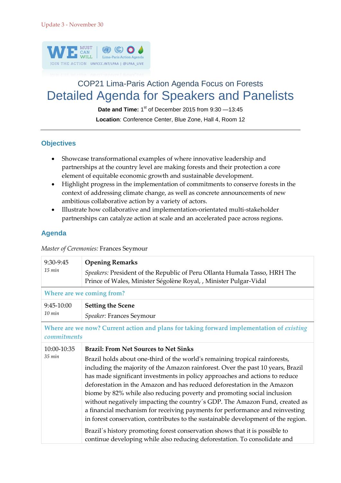

## COP21 Lima-Paris Action Agenda Focus on Forests Detailed Agenda for Speakers and Panelists

Date and Time: 1<sup>st</sup> of December 2015 from 9:30 - 13:45

**Location**: Conference Center, Blue Zone, Hall 4, Room 12

## **Objectives**

- Showcase transformational examples of where innovative leadership and partnerships at the country level are making forests and their protection a core element of equitable economic growth and sustainable development.
- Highlight progress in the implementation of commitments to conserve forests in the context of addressing climate change, as well as concrete announcements of new ambitious collaborative action by a variety of actors.
- Illustrate how collaborative and implementation-orientated multi-stakeholder partnerships can catalyze action at scale and an accelerated pace across regions.

## **Agenda**

*Master of Ceremonies:* Frances Seymour

| 9:30-9:45<br>15 min                                                                                     | <b>Opening Remarks</b>                                                                                                                                                                                                                                                                                                                                                                                                                                                                                                                                                                                                                                                                                                                                                                                              |  |
|---------------------------------------------------------------------------------------------------------|---------------------------------------------------------------------------------------------------------------------------------------------------------------------------------------------------------------------------------------------------------------------------------------------------------------------------------------------------------------------------------------------------------------------------------------------------------------------------------------------------------------------------------------------------------------------------------------------------------------------------------------------------------------------------------------------------------------------------------------------------------------------------------------------------------------------|--|
|                                                                                                         | Speakers: President of the Republic of Peru Ollanta Humala Tasso, HRH The<br>Prince of Wales, Minister Ségolène Royal, , Minister Pulgar-Vidal                                                                                                                                                                                                                                                                                                                                                                                                                                                                                                                                                                                                                                                                      |  |
| Where are we coming from?                                                                               |                                                                                                                                                                                                                                                                                                                                                                                                                                                                                                                                                                                                                                                                                                                                                                                                                     |  |
| 9:45-10:00<br>$10 \text{ min}$                                                                          | <b>Setting the Scene</b>                                                                                                                                                                                                                                                                                                                                                                                                                                                                                                                                                                                                                                                                                                                                                                                            |  |
|                                                                                                         | Speaker: Frances Seymour                                                                                                                                                                                                                                                                                                                                                                                                                                                                                                                                                                                                                                                                                                                                                                                            |  |
| Where are we now? Current action and plans for taking forward implementation of existing<br>commitments |                                                                                                                                                                                                                                                                                                                                                                                                                                                                                                                                                                                                                                                                                                                                                                                                                     |  |
| 10:00-10:35                                                                                             | <b>Brazil: From Net Sources to Net Sinks</b>                                                                                                                                                                                                                                                                                                                                                                                                                                                                                                                                                                                                                                                                                                                                                                        |  |
| 35 min                                                                                                  | Brazil holds about one-third of the world's remaining tropical rainforests,<br>including the majority of the Amazon rainforest. Over the past 10 years, Brazil<br>has made significant investments in policy approaches and actions to reduce<br>deforestation in the Amazon and has reduced deforestation in the Amazon<br>biome by 82% while also reducing poverty and promoting social inclusion<br>without negatively impacting the country's GDP. The Amazon Fund, created as<br>a financial mechanism for receiving payments for performance and reinvesting<br>in forest conservation, contributes to the sustainable development of the region.<br>Brazil's history promoting forest conservation shows that it is possible to<br>continue developing while also reducing deforestation. To consolidate and |  |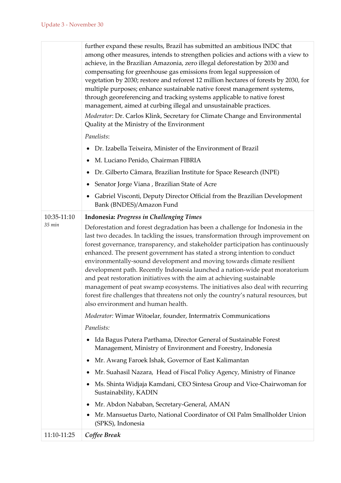|             | further expand these results, Brazil has submitted an ambitious INDC that<br>among other measures, intends to strengthen policies and actions with a view to<br>achieve, in the Brazilian Amazonia, zero illegal deforestation by 2030 and<br>compensating for greenhouse gas emissions from legal suppression of<br>vegetation by 2030; restore and reforest 12 million hectares of forests by 2030, for<br>multiple purposes; enhance sustainable native forest management systems,<br>through georeferencing and tracking systems applicable to native forest<br>management, aimed at curbing illegal and unsustainable practices.<br>Moderator: Dr. Carlos Klink, Secretary for Climate Change and Environmental<br>Quality at the Ministry of the Environment                 |
|-------------|------------------------------------------------------------------------------------------------------------------------------------------------------------------------------------------------------------------------------------------------------------------------------------------------------------------------------------------------------------------------------------------------------------------------------------------------------------------------------------------------------------------------------------------------------------------------------------------------------------------------------------------------------------------------------------------------------------------------------------------------------------------------------------|
|             | Panelists:                                                                                                                                                                                                                                                                                                                                                                                                                                                                                                                                                                                                                                                                                                                                                                         |
|             | Dr. Izabella Teixeira, Minister of the Environment of Brazil                                                                                                                                                                                                                                                                                                                                                                                                                                                                                                                                                                                                                                                                                                                       |
|             | M. Luciano Penido, Chairman FIBRIA                                                                                                                                                                                                                                                                                                                                                                                                                                                                                                                                                                                                                                                                                                                                                 |
|             | Dr. Gilberto Câmara, Brazilian Institute for Space Research (INPE)                                                                                                                                                                                                                                                                                                                                                                                                                                                                                                                                                                                                                                                                                                                 |
|             | Senator Jorge Viana, Brazilian State of Acre                                                                                                                                                                                                                                                                                                                                                                                                                                                                                                                                                                                                                                                                                                                                       |
|             | Gabriel Visconti, Deputy Director Official from the Brazilian Development<br>Bank (BNDES)/Amazon Fund                                                                                                                                                                                                                                                                                                                                                                                                                                                                                                                                                                                                                                                                              |
| 10:35-11:10 | <b>Indonesia: Progress in Challenging Times</b>                                                                                                                                                                                                                                                                                                                                                                                                                                                                                                                                                                                                                                                                                                                                    |
| 35 min      | Deforestation and forest degradation has been a challenge for Indonesia in the<br>last two decades. In tackling the issues, transformation through improvement on<br>forest governance, transparency, and stakeholder participation has continuously<br>enhanced. The present government has stated a strong intention to conduct<br>environmentally-sound development and moving towards climate resilient<br>development path. Recently Indonesia launched a nation-wide peat moratorium<br>and peat restoration initiatives with the aim at achieving sustainable<br>management of peat swamp ecosystems. The initiatives also deal with recurring<br>forest fire challenges that threatens not only the country's natural resources, but<br>also environment and human health. |
|             | Moderator: Wimar Witoelar, founder, Intermatrix Communications                                                                                                                                                                                                                                                                                                                                                                                                                                                                                                                                                                                                                                                                                                                     |
|             | Panelists:                                                                                                                                                                                                                                                                                                                                                                                                                                                                                                                                                                                                                                                                                                                                                                         |
|             | Ida Bagus Putera Parthama, Director General of Sustainable Forest<br>Management, Ministry of Environment and Forestry, Indonesia                                                                                                                                                                                                                                                                                                                                                                                                                                                                                                                                                                                                                                                   |
|             | Mr. Awang Faroek Ishak, Governor of East Kalimantan                                                                                                                                                                                                                                                                                                                                                                                                                                                                                                                                                                                                                                                                                                                                |
|             | Mr. Suahasil Nazara, Head of Fiscal Policy Agency, Ministry of Finance                                                                                                                                                                                                                                                                                                                                                                                                                                                                                                                                                                                                                                                                                                             |
|             | Ms. Shinta Widjaja Kamdani, CEO Sintesa Group and Vice-Chairwoman for<br>Sustainability, KADIN                                                                                                                                                                                                                                                                                                                                                                                                                                                                                                                                                                                                                                                                                     |
|             | Mr. Abdon Nababan, Secretary-General, AMAN                                                                                                                                                                                                                                                                                                                                                                                                                                                                                                                                                                                                                                                                                                                                         |
|             | Mr. Mansuetus Darto, National Coordinator of Oil Palm Smallholder Union<br>(SPKS), Indonesia                                                                                                                                                                                                                                                                                                                                                                                                                                                                                                                                                                                                                                                                                       |
| 11:10-11:25 | Coffee Break                                                                                                                                                                                                                                                                                                                                                                                                                                                                                                                                                                                                                                                                                                                                                                       |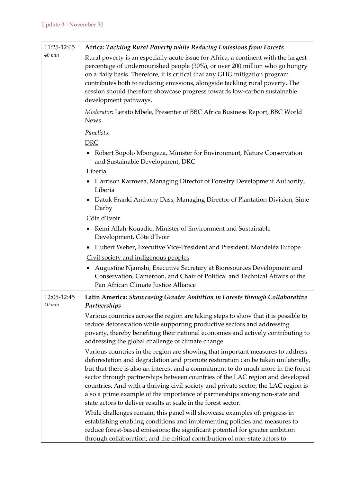| 11:25-12:05           | Africa: Tackling Rural Poverty while Reducing Emissions from Forests                                                                                                                                                                                                                                                                                                                                                                                                                                                                                                           |
|-----------------------|--------------------------------------------------------------------------------------------------------------------------------------------------------------------------------------------------------------------------------------------------------------------------------------------------------------------------------------------------------------------------------------------------------------------------------------------------------------------------------------------------------------------------------------------------------------------------------|
| 40 min                | Rural poverty is an especially acute issue for Africa, a continent with the largest<br>percentage of undernourished people (30%), or over 200 million who go hungry<br>on a daily basis. Therefore, it is critical that any GHG mitigation program<br>contributes both to reducing emissions, alongside tackling rural poverty. The<br>session should therefore showcase progress towards low-carbon sustainable<br>development pathways.                                                                                                                                      |
|                       | Moderator: Lerato Mbele, Presenter of BBC Africa Business Report, BBC World<br><b>News</b>                                                                                                                                                                                                                                                                                                                                                                                                                                                                                     |
|                       | Panelists:                                                                                                                                                                                                                                                                                                                                                                                                                                                                                                                                                                     |
|                       | <b>DRC</b>                                                                                                                                                                                                                                                                                                                                                                                                                                                                                                                                                                     |
|                       | Robert Bopolo Mbongeza, Minister for Environment, Nature Conservation<br>$\bullet$<br>and Sustainable Development, DRC                                                                                                                                                                                                                                                                                                                                                                                                                                                         |
|                       | <b>Liberia</b>                                                                                                                                                                                                                                                                                                                                                                                                                                                                                                                                                                 |
|                       | Harrison Karnwea, Managing Director of Forestry Development Authority,<br>Liberia                                                                                                                                                                                                                                                                                                                                                                                                                                                                                              |
|                       | Datuk Franki Anthony Dass, Managing Director of Plantation Division, Sime<br>$\bullet$<br>Darby                                                                                                                                                                                                                                                                                                                                                                                                                                                                                |
|                       | Côte d'Ivoir                                                                                                                                                                                                                                                                                                                                                                                                                                                                                                                                                                   |
|                       | Rémi Allah-Kouadio, Minister of Environment and Sustainable<br>Development, Côte d'Ivoir                                                                                                                                                                                                                                                                                                                                                                                                                                                                                       |
|                       | Hubert Weber, Executive Vice-President and President, Mondeléz Europe                                                                                                                                                                                                                                                                                                                                                                                                                                                                                                          |
|                       | Civil society and indigenous peoples                                                                                                                                                                                                                                                                                                                                                                                                                                                                                                                                           |
|                       | Augustine Njamshi, Executive Secretary at Bioresources Development and<br>Conservation, Cameroon, and Chair of Political and Technical Affairs of the<br>Pan African Climate Justice Alliance                                                                                                                                                                                                                                                                                                                                                                                  |
| 12:05-12:45<br>40 min | Latin America: Showcasing Greater Ambition in Forests through Collaborative<br>Partnerships                                                                                                                                                                                                                                                                                                                                                                                                                                                                                    |
|                       | Various countries across the region are taking steps to show that it is possible to<br>reduce deforestation while supporting productive sectors and addressing<br>poverty, thereby benefiting their national economies and actively contributing to<br>addressing the global challenge of climate change.                                                                                                                                                                                                                                                                      |
|                       | Various countries in the region are showing that important measures to address<br>deforestation and degradation and promote restoration can be taken unilaterally,<br>but that there is also an interest and a commitment to do much more in the forest<br>sector through partnerships between countries of the LAC region and developed<br>countries. And with a thriving civil society and private sector, the LAC region is<br>also a prime example of the importance of partnerships among non-state and<br>state actors to deliver results at scale in the forest sector. |
|                       | While challenges remain, this panel will showcase examples of: progress in<br>establishing enabling conditions and implementing policies and measures to<br>reduce forest-based emissions; the significant potential for greater ambition<br>through collaboration; and the critical contribution of non-state actors to                                                                                                                                                                                                                                                       |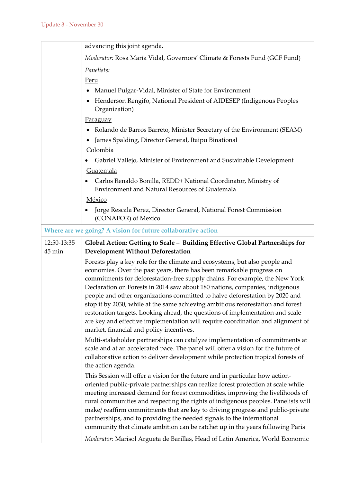|                       | advancing this joint agenda.                                                                                                                                                                                                                                                                                                                                                                                                                                                                                                                                                                                                                                                                         |
|-----------------------|------------------------------------------------------------------------------------------------------------------------------------------------------------------------------------------------------------------------------------------------------------------------------------------------------------------------------------------------------------------------------------------------------------------------------------------------------------------------------------------------------------------------------------------------------------------------------------------------------------------------------------------------------------------------------------------------------|
|                       | Moderator: Rosa María Vidal, Governors' Climate & Forests Fund (GCF Fund)                                                                                                                                                                                                                                                                                                                                                                                                                                                                                                                                                                                                                            |
|                       | Panelists:                                                                                                                                                                                                                                                                                                                                                                                                                                                                                                                                                                                                                                                                                           |
|                       | Peru                                                                                                                                                                                                                                                                                                                                                                                                                                                                                                                                                                                                                                                                                                 |
|                       | Manuel Pulgar-Vidal, Minister of State for Environment                                                                                                                                                                                                                                                                                                                                                                                                                                                                                                                                                                                                                                               |
|                       | Henderson Rengifo, National President of AIDESEP (Indigenous Peoples<br>Organization)                                                                                                                                                                                                                                                                                                                                                                                                                                                                                                                                                                                                                |
|                       | <b>Paraguay</b>                                                                                                                                                                                                                                                                                                                                                                                                                                                                                                                                                                                                                                                                                      |
|                       | Rolando de Barros Barreto, Minister Secretary of the Environment (SEAM)                                                                                                                                                                                                                                                                                                                                                                                                                                                                                                                                                                                                                              |
|                       | James Spalding, Director General, Itaipu Binational                                                                                                                                                                                                                                                                                                                                                                                                                                                                                                                                                                                                                                                  |
|                       | Colombia                                                                                                                                                                                                                                                                                                                                                                                                                                                                                                                                                                                                                                                                                             |
|                       | Gabriel Vallejo, Minister of Environment and Sustainable Development                                                                                                                                                                                                                                                                                                                                                                                                                                                                                                                                                                                                                                 |
|                       | Guatemala                                                                                                                                                                                                                                                                                                                                                                                                                                                                                                                                                                                                                                                                                            |
|                       | Carlos Renaldo Bonilla, REDD+ National Coordinator, Ministry of<br><b>Environment and Natural Resources of Guatemala</b>                                                                                                                                                                                                                                                                                                                                                                                                                                                                                                                                                                             |
|                       | México                                                                                                                                                                                                                                                                                                                                                                                                                                                                                                                                                                                                                                                                                               |
|                       | Jorge Rescala Perez, Director General, National Forest Commission<br>(CONAFOR) of Mexico                                                                                                                                                                                                                                                                                                                                                                                                                                                                                                                                                                                                             |
|                       | Where are we going? A vision for future collaborative action                                                                                                                                                                                                                                                                                                                                                                                                                                                                                                                                                                                                                                         |
| 12:50-13:35<br>45 min | Global Action: Getting to Scale - Building Effective Global Partnerships for<br><b>Development Without Deforestation</b>                                                                                                                                                                                                                                                                                                                                                                                                                                                                                                                                                                             |
|                       | Forests play a key role for the climate and ecosystems, but also people and<br>economies. Over the past years, there has been remarkable progress on<br>commitments for deforestation-free supply chains. For example, the New York<br>Declaration on Forests in 2014 saw about 180 nations, companies, indigenous<br>people and other organizations committed to halve deforestation by 2020 and<br>stop it by 2030, while at the same achieving ambitious reforestation and forest<br>restoration targets. Looking ahead, the questions of implementation and scale<br>are key and effective implementation will require coordination and alignment of<br>market, financial and policy incentives. |
|                       | Multi-stakeholder partnerships can catalyze implementation of commitments at<br>scale and at an accelerated pace. The panel will offer a vision for the future of<br>collaborative action to deliver development while protection tropical forests of<br>the action agenda.                                                                                                                                                                                                                                                                                                                                                                                                                          |
|                       | This Session will offer a vision for the future and in particular how action-                                                                                                                                                                                                                                                                                                                                                                                                                                                                                                                                                                                                                        |
|                       | oriented public-private partnerships can realize forest protection at scale while<br>meeting increased demand for forest commodities, improving the livelihoods of<br>rural communities and respecting the rights of indigenous peoples. Panelists will<br>make/reaffirm commitments that are key to driving progress and public-private<br>partnerships, and to providing the needed signals to the international<br>community that climate ambition can be ratchet up in the years following Paris                                                                                                                                                                                                 |
|                       | Moderator: Marisol Argueta de Barillas, Head of Latin America, World Economic                                                                                                                                                                                                                                                                                                                                                                                                                                                                                                                                                                                                                        |